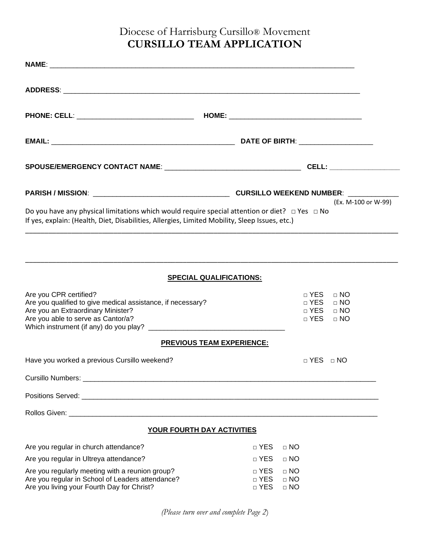## Diocese of Harrisburg Cursillo® Movement **CURSILLO TEAM APPLICATION**

|                                                                                                                                                                                                            | (Ex. M-100 or W-99)                                                                                     |
|------------------------------------------------------------------------------------------------------------------------------------------------------------------------------------------------------------|---------------------------------------------------------------------------------------------------------|
| Do you have any physical limitations which would require special attention or diet? $\Box$ Yes $\Box$ No<br>If yes, explain: (Health, Diet, Disabilities, Allergies, Limited Mobility, Sleep Issues, etc.) |                                                                                                         |
|                                                                                                                                                                                                            |                                                                                                         |
| <b>SPECIAL QUALIFICATIONS:</b>                                                                                                                                                                             |                                                                                                         |
| Are you CPR certified?<br>Are you qualified to give medical assistance, if necessary?<br>Are you an Extraordinary Minister?<br>Are you able to serve as Cantor/a?                                          | □ YES<br>$\Box$ NO<br>$\Box$ YES<br>$\Box$ NO<br>$\sqcap$ YES<br>$\Box$ NO<br>$\sqcap$ YES<br>$\Box$ NO |
| <b>PREVIOUS TEAM EXPERIENCE:</b>                                                                                                                                                                           |                                                                                                         |
| Have you worked a previous Cursillo weekend?                                                                                                                                                               | □ YES □ NO                                                                                              |
|                                                                                                                                                                                                            |                                                                                                         |
|                                                                                                                                                                                                            |                                                                                                         |
|                                                                                                                                                                                                            |                                                                                                         |
| YOUR FOURTH DAY ACTIVITIES                                                                                                                                                                                 |                                                                                                         |
| Are you regular in church attendance?                                                                                                                                                                      | $\sqcap$ YES<br>$\Box$ NO                                                                               |
| Are you regular in Ultreya attendance?                                                                                                                                                                     | □ YES<br>$\Box$ NO                                                                                      |
| Are you regularly meeting with a reunion group?<br>Are you regular in School of Leaders attendance?<br>Are you living your Fourth Day for Christ?                                                          | $\Box$ NO<br>$\Box$ YES<br>□ YES<br>$\Box$ NO<br>□ YES<br>$\Box$ NO                                     |

*(Please turn over and complete Page 2*)